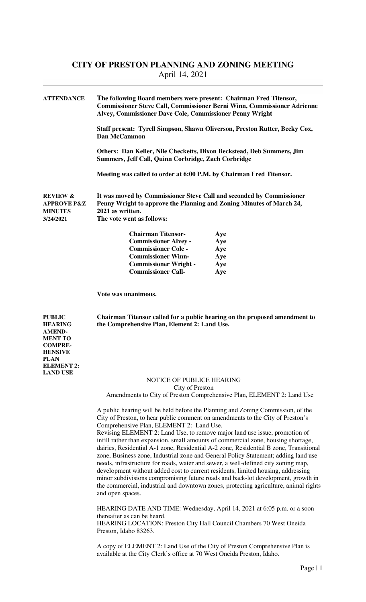| <b>ATTENDANCE</b>                                                                   | The following Board members were present: Chairman Fred Titensor,<br><b>Commissioner Steve Call, Commissioner Berni Winn, Commissioner Adrienne</b><br>Alvey, Commissioner Dave Cole, Commissioner Penny Wright |                                                                            |  |
|-------------------------------------------------------------------------------------|-----------------------------------------------------------------------------------------------------------------------------------------------------------------------------------------------------------------|----------------------------------------------------------------------------|--|
|                                                                                     | Dan McCammon                                                                                                                                                                                                    | Staff present: Tyrell Simpson, Shawn Oliverson, Preston Rutter, Becky Cox, |  |
|                                                                                     | Others: Dan Keller, Nile Checketts, Dixon Beckstead, Deb Summers, Jim<br>Summers, Jeff Call, Quinn Corbridge, Zach Corbridge                                                                                    |                                                                            |  |
|                                                                                     | Meeting was called to order at 6:00 P.M. by Chairman Fred Titensor.                                                                                                                                             |                                                                            |  |
| <b>REVIEW &amp;</b><br><b>APPROVE P&amp;Z</b><br><b>MINUTES</b><br><b>3/24/2021</b> | It was moved by Commissioner Steve Call and seconded by Commissioner<br>Penny Wright to approve the Planning and Zoning Minutes of March 24,<br>2021 as written.<br>The vote went as follows:                   |                                                                            |  |
|                                                                                     | <b>Chairman Titensor-</b>                                                                                                                                                                                       | Aye                                                                        |  |
|                                                                                     | <b>Commissioner Alvey -</b>                                                                                                                                                                                     | Aye                                                                        |  |
|                                                                                     | <b>Commissioner Cole -</b>                                                                                                                                                                                      | Aye                                                                        |  |
|                                                                                     | <b>Commissioner Winn-</b>                                                                                                                                                                                       | Aye                                                                        |  |
|                                                                                     | <b>Commissioner Wright -</b>                                                                                                                                                                                    | Aye                                                                        |  |
|                                                                                     | <b>Commissioner Call-</b>                                                                                                                                                                                       | Aye                                                                        |  |

 **Vote was unanimous.** 

**PUBLIC Chairman Titensor called for a public hearing on the proposed amendment to HEARING the Comprehensive Plan, Element 2: Land Use.** 

**AMEND-MENT TO COMPRE-HENSIVE PLAN ELEMENT 2: LAND USE** 

NOTICE OF PUBLICE HEARING City of Preston

Amendments to City of Preston Comprehensive Plan, ELEMENT 2: Land Use

 A public hearing will be held before the Planning and Zoning Commission, of the City of Preston, to hear public comment on amendments to the City of Preston's Comprehensive Plan, ELEMENT 2: Land Use.

 Revising ELEMENT 2: Land Use, to remove major land use issue, promotion of infill rather than expansion, small amounts of commercial zone, housing shortage, dairies, Residential A-1 zone, Residential A-2 zone, Residential B zone, Transitional zone, Business zone, Industrial zone and General Policy Statement; adding land use needs, infrastructure for roads, water and sewer, a well-defined city zoning map, development without added cost to current residents, limited housing, addressing minor subdivisions compromising future roads and back-lot development, growth in the commercial, industrial and downtown zones, protecting agriculture, animal rights and open spaces.

 HEARING DATE AND TIME: Wednesday, April 14, 2021 at 6:05 p.m. or a soon thereafter as can be heard.

 HEARING LOCATION: Preston City Hall Council Chambers 70 West Oneida Preston, Idaho 83263.

 A copy of ELEMENT 2: Land Use of the City of Preston Comprehensive Plan is available at the City Clerk's office at 70 West Oneida Preston, Idaho.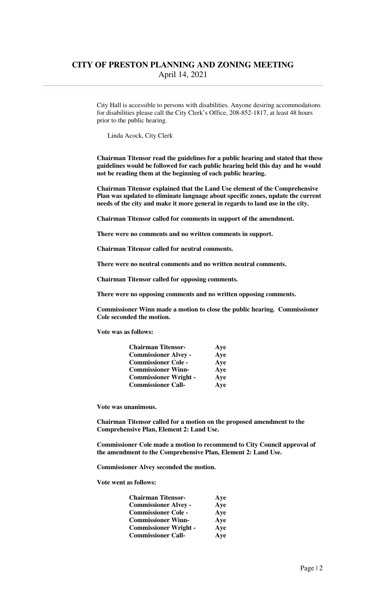City Hall is accessible to persons with disabilities. Anyone desiring accommodations for disabilities please call the City Clerk's Office, 208-852-1817, at least 48 hours prior to the public hearing.

Linda Acock, City Clerk

 **Chairman Titensor read the guidelines for a public hearing and stated that these guidelines would be followed for each public hearing held this day and he would not be reading them at the beginning of each public hearing.** 

 **Chairman Titensor explained that the Land Use element of the Comprehensive Plan was updated to eliminate language about specific zones, update the current needs of the city and make it more general in regards to land use in the city.** 

 **Chairman Titensor called for comments in support of the amendment.** 

 **There were no comments and no written comments in support.** 

 **Chairman Titensor called for neutral comments.** 

 **There were no neutral comments and no written neutral comments.** 

 **Chairman Titensor called for opposing comments.** 

 **There were no opposing comments and no written opposing comments.** 

 **Commissioner Winn made a motion to close the public hearing. Commissioner Cole seconded the motion.** 

 **Vote was as follows:** 

| <b>Chairman Titensor-</b>    | Aye |
|------------------------------|-----|
| <b>Commissioner Alvey -</b>  | Aye |
| <b>Commissioner Cole -</b>   | Aye |
| <b>Commissioner Winn-</b>    | Aye |
| <b>Commissioner Wright -</b> | Aye |
| <b>Commissioner Call-</b>    | Aye |

**Vote was unanimous.** 

 **Chairman Titensor called for a motion on the proposed amendment to the Comprehensive Plan, Element 2: Land Use.** 

 **Commissioner Cole made a motion to recommend to City Council approval of the amendment to the Comprehensive Plan, Element 2: Land Use.** 

 **Commissioner Alvey seconded the motion.** 

 **Vote went as follows:** 

| <b>Chairman Titensor-</b>    | Ave |
|------------------------------|-----|
| <b>Commissioner Alvey -</b>  | Aye |
| <b>Commissioner Cole -</b>   | Aye |
| <b>Commissioner Winn-</b>    | Aye |
| <b>Commissioner Wright -</b> | Aye |
| <b>Commissioner Call-</b>    | Aye |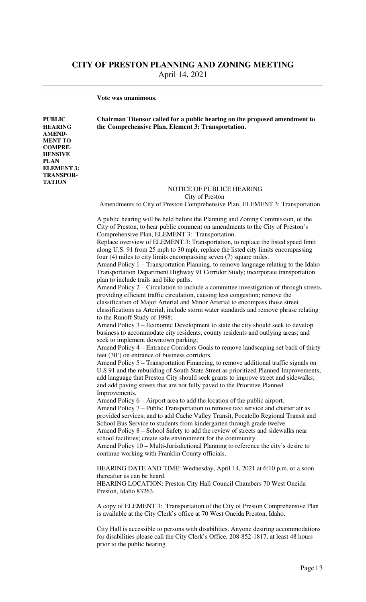**Vote was unanimous.** 

**AMEND-MENT TO COMPRE-HENSIVE PLAN** 

**ELEMENT 3: TRANSPOR-TATION** 

**PUBLIC Chairman Titensor called for a public hearing on the proposed amendment to HEARING the Comprehensive Plan, Element 3: Transportation.** 

# NOTICE OF PUBLICE HEARING

 City of Preston Amendments to City of Preston Comprehensive Plan, ELEMENT 3: Transportation

 A public hearing will be held before the Planning and Zoning Commission, of the City of Preston, to hear public comment on amendments to the City of Preston's Comprehensive Plan, ELEMENT 3: Transportation.

 Replace overview of ELEMENT 3: Transportation, to replace the listed speed limit along U.S. 91 from 25 mph to 30 mph; replace the listed city limits encompassing four (4) miles to city limits encompassing seven (7) square miles.

 Amend Policy 1 – Transportation Planning, to remove language relating to the Idaho Transportation Department Highway 91 Corridor Study; incorporate transportation plan to include trails and bike paths.

 Amend Policy 2 – Circulation to include a committee investigation of through streets, providing efficient traffic circulation, causing less congestion; remove the classification of Major Arterial and Minor Arterial to encompass those street

 classifications as Arterial; include storm water standards and remove phrase relating to the Runoff Study of 1998;

 Amend Policy 3 – Economic Development to state the city should seek to develop business to accommodate city residents, county residents and outlying areas; and seek to implement downtown parking;

 Amend Policy 4 – Entrance Corridors Goals to remove landscaping set back of thirty feet (30') on entrance of business corridors.

 Amend Policy 5 – Transportation Financing, to remove additional traffic signals on U.S 91 and the rebuilding of South State Street as prioritized Planned Improvements; add language that Preston City should seek grants to improve street and sidewalks; and add paving streets that are not fully paved to the Prioritize Planned Improvements.

Amend Policy 6 – Airport area to add the location of the public airport.

 Amend Policy 7 – Public Transportation to remove taxi service and charter air as provided services; and to add Cache Valley Transit, Pocatello Regional Transit and School Bus Service to students from kindergarten through grade twelve.

 Amend Policy 8 – School Safety to add the review of streets and sidewalks near school facilities; create safe environment for the community.

 Amend Policy 10 – Multi-Jurisdictional Planning to reference the city's desire to continue working with Franklin County officials.

 HEARING DATE AND TIME: Wednesday, April 14, 2021 at 6:10 p.m. or a soon thereafter as can be heard.

 HEARING LOCATION: Preston City Hall Council Chambers 70 West Oneida Preston, Idaho 83263.

 A copy of ELEMENT 3: Transportation of the City of Preston Comprehensive Plan is available at the City Clerk's office at 70 West Oneida Preston, Idaho.

 City Hall is accessible to persons with disabilities. Anyone desiring accommodations for disabilities please call the City Clerk's Office, 208-852-1817, at least 48 hours prior to the public hearing.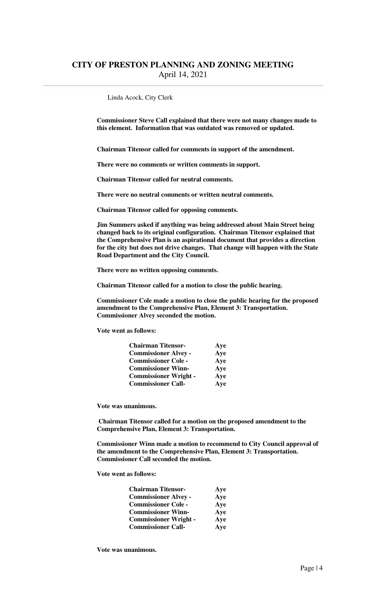Linda Acock, City Clerk

**Commissioner Steve Call explained that there were not many changes made to this element. Information that was outdated was removed or updated.** 

 **Chairman Titensor called for comments in support of the amendment.** 

 **There were no comments or written comments in support.** 

 **Chairman Titensor called for neutral comments.** 

 **There were no neutral comments or written neutral comments.** 

 **Chairman Titensor called for opposing comments.** 

 **Jim Summers asked if anything was being addressed about Main Street being changed back to its original configuration. Chairman Titensor explained that the Comprehensive Plan is an aspirational document that provides a direction for the city but does not drive changes. That change will happen with the State Road Department and the City Council.** 

 **There were no written opposing comments.** 

 **Chairman Titensor called for a motion to close the public hearing.** 

 **Commissioner Cole made a motion to close the public hearing for the proposed amendment to the Comprehensive Plan, Element 3: Transportation. Commissioner Alvey seconded the motion.** 

 **Vote went as follows:** 

| <b>Chairman Titensor-</b>    | Aye |
|------------------------------|-----|
| <b>Commissioner Alvey -</b>  | Aye |
| <b>Commissioner Cole -</b>   | Aye |
| <b>Commissioner Winn-</b>    | Aye |
| <b>Commissioner Wright -</b> | Aye |
| <b>Commissioner Call-</b>    | Aye |

 **Vote was unanimous.** 

 **Chairman Titensor called for a motion on the proposed amendment to the Comprehensive Plan, Element 3: Transportation.** 

 **Commissioner Winn made a motion to recommend to City Council approval of the amendment to the Comprehensive Plan, Element 3: Transportation. Commissioner Call seconded the motion.** 

 **Vote went as follows:** 

| <b>Chairman Titensor-</b>    | Aye |
|------------------------------|-----|
| <b>Commissioner Alvey -</b>  | Aye |
| <b>Commissioner Cole -</b>   | Aye |
| <b>Commissioner Winn-</b>    | Aye |
| <b>Commissioner Wright -</b> | Aye |
| <b>Commissioner Call-</b>    | Aye |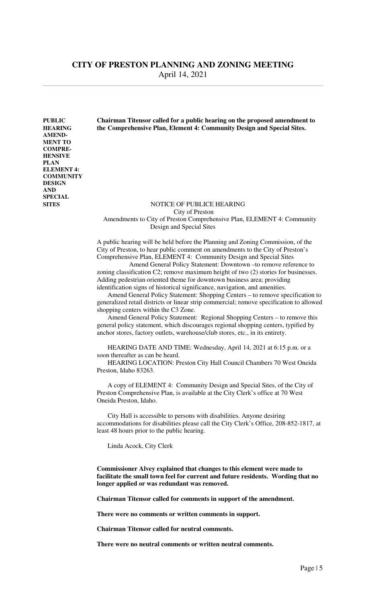**AMEND-MENT TO COMPRE-HENSIVE PLAN ELEMENT 4: COMMUNITY DESIGN AND SPECIAL** 

**PUBLIC Chairman Titensor called for a public hearing on the proposed amendment to HEARING the Comprehensive Plan, Element 4: Community Design and Special Sites.** 

#### **SITES** NOTICE OF PUBLICE HEARING City of Preston Amendments to City of Preston Comprehensive Plan, ELEMENT 4: Community Design and Special Sites

 A public hearing will be held before the Planning and Zoning Commission, of the City of Preston, to hear public comment on amendments to the City of Preston's Comprehensive Plan, ELEMENT 4: Community Design and Special Sites

 Amend General Policy Statement: Downtown –to remove reference to zoning classification C2; remove maximum height of two (2) stories for businesses. Adding pedestrian oriented theme for downtown business area; providing identification signs of historical significance, navigation, and amenities.

 Amend General Policy Statement: Shopping Centers – to remove specification to generalized retail districts or linear strip commercial; remove specification to allowed shopping centers within the C3 Zone.

 Amend General Policy Statement: Regional Shopping Centers – to remove this general policy statement, which discourages regional shopping centers, typified by anchor stores, factory outlets, warehouse/club stores, etc., in its entirety.

 HEARING DATE AND TIME: Wednesday, April 14, 2021 at 6:15 p.m. or a soon thereafter as can be heard.

 HEARING LOCATION: Preston City Hall Council Chambers 70 West Oneida Preston, Idaho 83263.

 A copy of ELEMENT 4: Community Design and Special Sites, of the City of Preston Comprehensive Plan, is available at the City Clerk's office at 70 West Oneida Preston, Idaho.

 City Hall is accessible to persons with disabilities. Anyone desiring accommodations for disabilities please call the City Clerk's Office, 208-852-1817, at least 48 hours prior to the public hearing.

Linda Acock, City Clerk

**Commissioner Alvey explained that changes to this element were made to facilitate the small town feel for current and future residents. Wording that no longer applied or was redundant was removed.** 

 **Chairman Titensor called for comments in support of the amendment.** 

 **There were no comments or written comments in support.** 

 **Chairman Titensor called for neutral comments.** 

 **There were no neutral comments or written neutral comments.**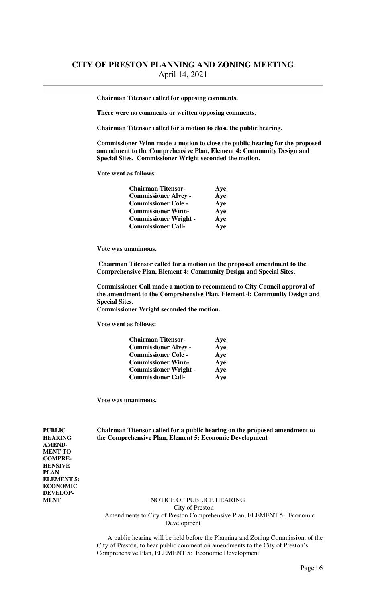**Chairman Titensor called for opposing comments.** 

 **There were no comments or written opposing comments.** 

 **Chairman Titensor called for a motion to close the public hearing.** 

 **Commissioner Winn made a motion to close the public hearing for the proposed amendment to the Comprehensive Plan, Element 4: Community Design and Special Sites. Commissioner Wright seconded the motion.** 

 **Vote went as follows:** 

| <b>Chairman Titensor-</b>    | Ave |
|------------------------------|-----|
| <b>Commissioner Alvey -</b>  | Aye |
| <b>Commissioner Cole -</b>   | Aye |
| <b>Commissioner Winn-</b>    | Aye |
| <b>Commissioner Wright -</b> | Aye |
| <b>Commissioner Call-</b>    | Aye |

 **Vote was unanimous.** 

 **Chairman Titensor called for a motion on the proposed amendment to the Comprehensive Plan, Element 4: Community Design and Special Sites.** 

 **Commissioner Call made a motion to recommend to City Council approval of the amendment to the Comprehensive Plan, Element 4: Community Design and Special Sites. Commissioner Wright seconded the motion.** 

 **Vote went as follows:** 

| <b>Chairman Titensor-</b>    | Aye |
|------------------------------|-----|
| <b>Commissioner Alvey -</b>  | Aye |
| <b>Commissioner Cole -</b>   | Aye |
| <b>Commissioner Winn-</b>    | Aye |
| <b>Commissioner Wright -</b> | Aye |
| <b>Commissioner Call-</b>    | Aye |

**Vote was unanimous.** 

**PUBLIC Chairman Titensor called for a public hearing on the proposed amendment to HEARING the Comprehensive Plan, Element 5: Economic Development** 

**AMEND-MENT TO COMPRE-HENSIVE PLAN ELEMENT 5: ECONOMIC DEVELOP-**

**NOTICE OF PUBLICE HEARING**  City of Preston Amendments to City of Preston Comprehensive Plan, ELEMENT 5: Economic Development

 A public hearing will be held before the Planning and Zoning Commission, of the City of Preston, to hear public comment on amendments to the City of Preston's Comprehensive Plan, ELEMENT 5: Economic Development.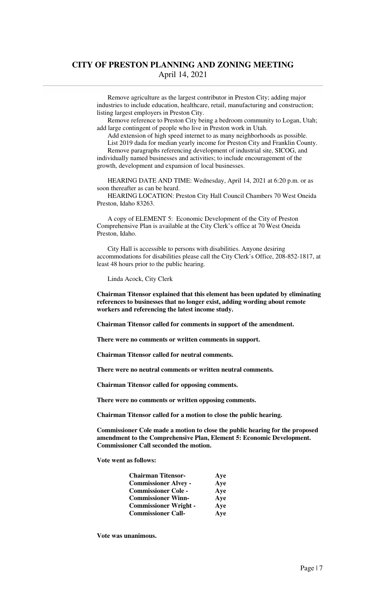Remove agriculture as the largest contributor in Preston City; adding major industries to include education, healthcare, retail, manufacturing and construction; listing largest employers in Preston City.

 Remove reference to Preston City being a bedroom community to Logan, Utah; add large contingent of people who live in Preston work in Utah.

 Add extension of high speed internet to as many neighborhoods as possible. List 2019 dada for median yearly income for Preston City and Franklin County.

 Remove paragraphs referencing development of industrial site, SICOG, and individually named businesses and activities; to include encouragement of the growth, development and expansion of local businesses.

 HEARING DATE AND TIME: Wednesday, April 14, 2021 at 6:20 p.m. or as soon thereafter as can be heard.

 HEARING LOCATION: Preston City Hall Council Chambers 70 West Oneida Preston, Idaho 83263.

 A copy of ELEMENT 5: Economic Development of the City of Preston Comprehensive Plan is available at the City Clerk's office at 70 West Oneida Preston, Idaho.

 City Hall is accessible to persons with disabilities. Anyone desiring accommodations for disabilities please call the City Clerk's Office, 208-852-1817, at least 48 hours prior to the public hearing.

Linda Acock, City Clerk

 **Chairman Titensor explained that this element has been updated by eliminating references to businesses that no longer exist, adding wording about remote workers and referencing the latest income study.** 

 **Chairman Titensor called for comments in support of the amendment.** 

 **There were no comments or written comments in support.** 

 **Chairman Titensor called for neutral comments.** 

 **There were no neutral comments or written neutral comments.** 

 **Chairman Titensor called for opposing comments.** 

 **There were no comments or written opposing comments.** 

 **Chairman Titensor called for a motion to close the public hearing.** 

 **Commissioner Cole made a motion to close the public hearing for the proposed amendment to the Comprehensive Plan, Element 5: Economic Development. Commissioner Call seconded the motion.** 

 **Vote went as follows:** 

| <b>Chairman Titensor-</b>    | Aye |
|------------------------------|-----|
| <b>Commissioner Alvey -</b>  | Aye |
| <b>Commissioner Cole -</b>   | Aye |
| <b>Commissioner Winn-</b>    | Aye |
| <b>Commissioner Wright -</b> | Aye |
| <b>Commissioner Call-</b>    | Aye |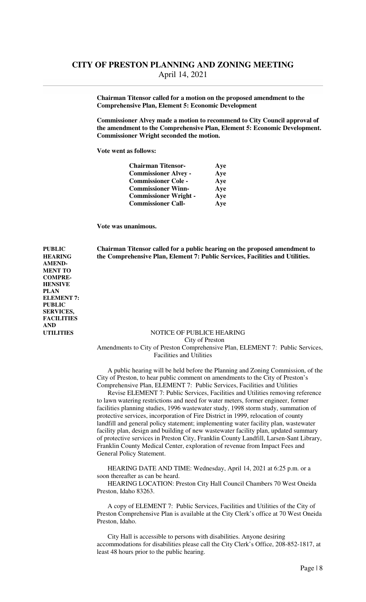**Chairman Titensor called for a motion on the proposed amendment to the Comprehensive Plan, Element 5: Economic Development**

 **Commissioner Alvey made a motion to recommend to City Council approval of the amendment to the Comprehensive Plan, Element 5: Economic Development. Commissioner Wright seconded the motion.** 

 **Vote went as follows:** 

| <b>Chairman Titensor-</b>    | Ave |
|------------------------------|-----|
| <b>Commissioner Alvey -</b>  | Aye |
| <b>Commissioner Cole -</b>   | Aye |
| <b>Commissioner Winn-</b>    | Aye |
| <b>Commissioner Wright -</b> | Aye |
| <b>Commissioner Call-</b>    | Aye |

**Vote was unanimous.** 

**AMEND-MENT TO COMPRE-HENSIVE PLAN** 

**ELEMENT 7: PUBLIC SERVICES, FACILITIES** 

**AND** 

**PUBLIC Chairman Titensor called for a public hearing on the proposed amendment to HEARING the Comprehensive Plan, Element 7: Public Services, Facilities and Utilities.** 

### **UTILITIES** NOTICE OF PUBLICE HEARING

City of Preston

 Amendments to City of Preston Comprehensive Plan, ELEMENT 7: Public Services, Facilities and Utilities

 A public hearing will be held before the Planning and Zoning Commission, of the City of Preston, to hear public comment on amendments to the City of Preston's Comprehensive Plan, ELEMENT 7: Public Services, Facilities and Utilities

 Revise ELEMENT 7: Public Services, Facilities and Utilities removing reference to lawn watering restrictions and need for water meters, former engineer, former facilities planning studies, 1996 wastewater study, 1998 storm study, summation of protective services, incorporation of Fire District in 1999, relocation of county landfill and general policy statement; implementing water facility plan, wastewater facility plan, design and building of new wastewater facility plan, updated summary of protective services in Preston City, Franklin County Landfill, Larsen-Sant Library, Franklin County Medical Center, exploration of revenue from Impact Fees and General Policy Statement.

 HEARING DATE AND TIME: Wednesday, April 14, 2021 at 6:25 p.m. or a soon thereafter as can be heard.

 HEARING LOCATION: Preston City Hall Council Chambers 70 West Oneida Preston, Idaho 83263.

 A copy of ELEMENT 7: Public Services, Facilities and Utilities of the City of Preston Comprehensive Plan is available at the City Clerk's office at 70 West Oneida Preston, Idaho.

 City Hall is accessible to persons with disabilities. Anyone desiring accommodations for disabilities please call the City Clerk's Office, 208-852-1817, at least 48 hours prior to the public hearing.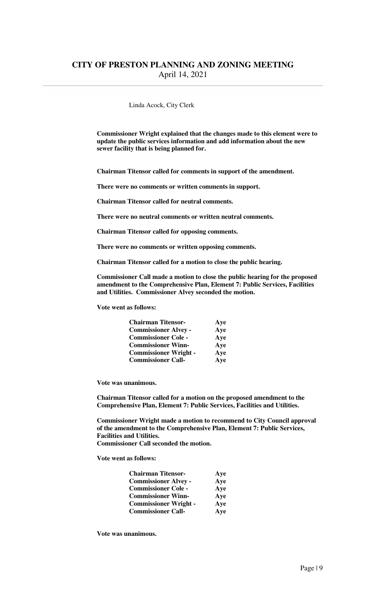#### Linda Acock, City Clerk

**Commissioner Wright explained that the changes made to this element were to update the public services information and add information about the new sewer facility that is being planned for.** 

**Chairman Titensor called for comments in support of the amendment.** 

 **There were no comments or written comments in support.** 

 **Chairman Titensor called for neutral comments.** 

 **There were no neutral comments or written neutral comments.** 

 **Chairman Titensor called for opposing comments.** 

 **There were no comments or written opposing comments.** 

 **Chairman Titensor called for a motion to close the public hearing.** 

 **Commissioner Call made a motion to close the public hearing for the proposed amendment to the Comprehensive Plan, Element 7: Public Services, Facilities and Utilities. Commissioner Alvey seconded the motion.** 

 **Vote went as follows:** 

| <b>Chairman Titensor-</b>    | Ave |
|------------------------------|-----|
| <b>Commissioner Alvey -</b>  | Aye |
| <b>Commissioner Cole -</b>   | Aye |
| <b>Commissioner Winn-</b>    | Aye |
| <b>Commissioner Wright -</b> | Aye |
| <b>Commissioner Call-</b>    | Aye |

 **Vote was unanimous.** 

 **Chairman Titensor called for a motion on the proposed amendment to the Comprehensive Plan, Element 7: Public Services, Facilities and Utilities.** 

 **Commissioner Wright made a motion to recommend to City Council approval of the amendment to the Comprehensive Plan, Element 7: Public Services, Facilities and Utilities. Commissioner Call seconded the motion.** 

 **Vote went as follows:** 

| <b>Chairman Titensor-</b>    | Aye |
|------------------------------|-----|
| <b>Commissioner Alvey -</b>  | Aye |
| <b>Commissioner Cole -</b>   | Aye |
| <b>Commissioner Winn-</b>    | Aye |
| <b>Commissioner Wright -</b> | Aye |
| <b>Commissioner Call-</b>    | Aye |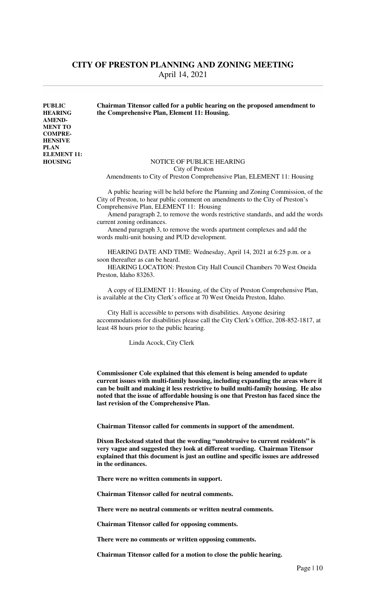**AMEND-MENT TO COMPRE-HENSIVE PLAN ELEMENT 11:** 

### **PUBLIC Chairman Titensor called for a public hearing on the proposed amendment to HEARING the Comprehensive Plan, Element 11: Housing.**

### **HOUSING** NOTICE OF PUBLICE HEARING City of Preston

Amendments to City of Preston Comprehensive Plan, ELEMENT 11: Housing

 A public hearing will be held before the Planning and Zoning Commission, of the City of Preston, to hear public comment on amendments to the City of Preston's Comprehensive Plan, ELEMENT 11: Housing

 Amend paragraph 2, to remove the words restrictive standards, and add the words current zoning ordinances.

 Amend paragraph 3, to remove the words apartment complexes and add the words multi-unit housing and PUD development.

 HEARING DATE AND TIME: Wednesday, April 14, 2021 at 6:25 p.m. or a soon thereafter as can be heard.

 HEARING LOCATION: Preston City Hall Council Chambers 70 West Oneida Preston, Idaho 83263.

 A copy of ELEMENT 11: Housing, of the City of Preston Comprehensive Plan, is available at the City Clerk's office at 70 West Oneida Preston, Idaho.

 City Hall is accessible to persons with disabilities. Anyone desiring accommodations for disabilities please call the City Clerk's Office, 208-852-1817, at least 48 hours prior to the public hearing.

Linda Acock, City Clerk

 **Commissioner Cole explained that this element is being amended to update current issues with multi-family housing, including expanding the areas where it can be built and making it less restrictive to build multi-family housing. He also noted that the issue of affordable housing is one that Preston has faced since the last revision of the Comprehensive Plan.** 

 **Chairman Titensor called for comments in support of the amendment.** 

 **Dixon Beckstead stated that the wording "unobtrusive to current residents" is very vague and suggested they look at different wording. Chairman Titensor explained that this document is just an outline and specific issues are addressed in the ordinances.** 

 **There were no written comments in support.** 

 **Chairman Titensor called for neutral comments.** 

 **There were no neutral comments or written neutral comments.** 

 **Chairman Titensor called for opposing comments.** 

 **There were no comments or written opposing comments.** 

 **Chairman Titensor called for a motion to close the public hearing.**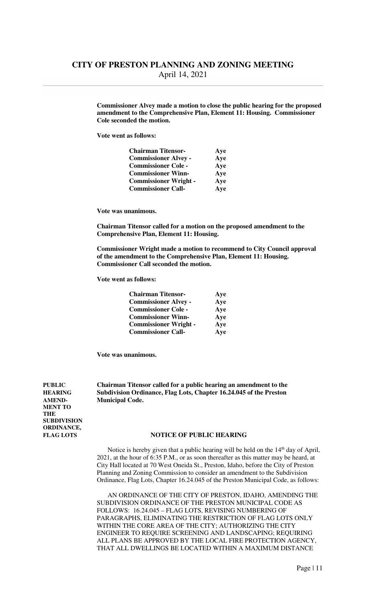**Commissioner Alvey made a motion to close the public hearing for the proposed amendment to the Comprehensive Plan, Element 11: Housing. Commissioner Cole seconded the motion.** 

 **Vote went as follows:** 

| <b>Chairman Titensor-</b>    | Ave |
|------------------------------|-----|
| <b>Commissioner Alvey -</b>  | Aye |
| <b>Commissioner Cole -</b>   | Aye |
| <b>Commissioner Winn-</b>    | Aye |
| <b>Commissioner Wright -</b> | Aye |
| <b>Commissioner Call-</b>    | Aye |

 **Vote was unanimous.** 

 **Chairman Titensor called for a motion on the proposed amendment to the Comprehensive Plan, Element 11: Housing.** 

 **Commissioner Wright made a motion to recommend to City Council approval of the amendment to the Comprehensive Plan, Element 11: Housing. Commissioner Call seconded the motion.** 

 **Vote went as follows:** 

| <b>Chairman Titensor-</b>    | Aye |
|------------------------------|-----|
| <b>Commissioner Alvey -</b>  | Aye |
| <b>Commissioner Cole -</b>   | Aye |
| <b>Commissioner Winn-</b>    | Aye |
| <b>Commissioner Wright -</b> | Aye |
| <b>Commissioner Call-</b>    | Aye |

**Vote was unanimous.** 

**PUBLIC Chairman Titensor called for a public hearing an amendment to the HEARING Subdivision Ordinance, Flag Lots, Chapter 16.24.045 of the Preston AMEND- Municipal Code.** 

**MENT TO THE SUBDIVISION ORDINANCE,** 

#### **FLAG LOTS NOTICE OF PUBLIC HEARING**

Notice is hereby given that a public hearing will be held on the 14<sup>th</sup> day of April, 2021, at the hour of 6:35 P.M., or as soon thereafter as this matter may be heard, at City Hall located at 70 West Oneida St., Preston, Idaho, before the City of Preston Planning and Zoning Commission to consider an amendment to the Subdivision Ordinance, Flag Lots, Chapter 16.24.045 of the Preston Municipal Code, as follows:

 AN ORDINANCE OF THE CITY OF PRESTON, IDAHO, AMENDING THE SUBDIVISION ORDINANCE OF THE PRESTON MUNICIPAL CODE AS FOLLOWS: 16.24.045 – FLAG LOTS, REVISING NUMBERING OF PARAGRAPHS, ELIMINATING THE RESTRICTION OF FLAG LOTS ONLY WITHIN THE CORE AREA OF THE CITY; AUTHORIZING THE CITY ENGINEER TO REQUIRE SCREENING AND LANDSCAPING; REQUIRING ALL PLANS BE APPROVED BY THE LOCAL FIRE PROTECTION AGENCY, THAT ALL DWELLINGS BE LOCATED WITHIN A MAXIMUM DISTANCE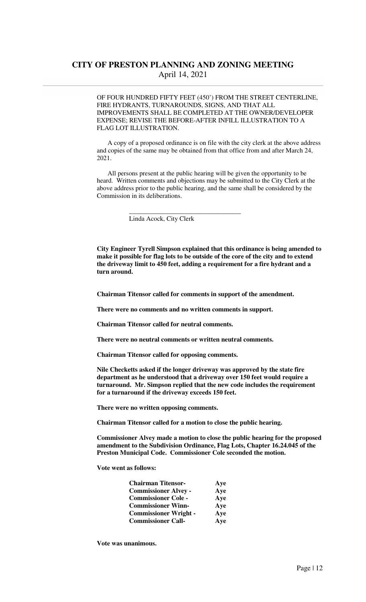OF FOUR HUNDRED FIFTY FEET (450') FROM THE STREET CENTERLINE, FIRE HYDRANTS, TURNAROUNDS, SIGNS, AND THAT ALL IMPROVEMENTS SHALL BE COMPLETED AT THE OWNER/DEVELOPER EXPENSE; REVISE THE BEFORE-AFTER INFILL ILLUSTRATION TO A FLAG LOT ILLUSTRATION.

 A copy of a proposed ordinance is on file with the city clerk at the above address and copies of the same may be obtained from that office from and after March 24, 2021.

 All persons present at the public hearing will be given the opportunity to be heard. Written comments and objections may be submitted to the City Clerk at the above address prior to the public hearing, and the same shall be considered by the Commission in its deliberations.

Linda Acock, City Clerk

 $\frac{1}{\sqrt{2}}$  ,  $\frac{1}{\sqrt{2}}$  ,  $\frac{1}{\sqrt{2}}$  ,  $\frac{1}{\sqrt{2}}$  ,  $\frac{1}{\sqrt{2}}$  ,  $\frac{1}{\sqrt{2}}$  ,  $\frac{1}{\sqrt{2}}$  ,  $\frac{1}{\sqrt{2}}$  ,  $\frac{1}{\sqrt{2}}$  ,  $\frac{1}{\sqrt{2}}$  ,  $\frac{1}{\sqrt{2}}$  ,  $\frac{1}{\sqrt{2}}$  ,  $\frac{1}{\sqrt{2}}$  ,  $\frac{1}{\sqrt{2}}$  ,  $\frac{1}{\sqrt{2}}$ 

 **City Engineer Tyrell Simpson explained that this ordinance is being amended to make it possible for flag lots to be outside of the core of the city and to extend the driveway limit to 450 feet, adding a requirement for a fire hydrant and a turn around.** 

 **Chairman Titensor called for comments in support of the amendment.** 

 **There were no comments and no written comments in support.** 

 **Chairman Titensor called for neutral comments.** 

 **There were no neutral comments or written neutral comments.** 

 **Chairman Titensor called for opposing comments.** 

 **Nile Checketts asked if the longer driveway was approved by the state fire department as he understood that a driveway over 150 feet would require a turnaround. Mr. Simpson replied that the new code includes the requirement for a turnaround if the driveway exceeds 150 feet.** 

 **There were no written opposing comments.** 

 **Chairman Titensor called for a motion to close the public hearing.** 

 **Commissioner Alvey made a motion to close the public hearing for the proposed amendment to the Subdivision Ordinance, Flag Lots, Chapter 16.24.045 of the Preston Municipal Code. Commissioner Cole seconded the motion.** 

 **Vote went as follows:** 

| <b>Chairman Titensor-</b>    | Aye |
|------------------------------|-----|
| <b>Commissioner Alvey -</b>  | Aye |
| <b>Commissioner Cole -</b>   | Aye |
| <b>Commissioner Winn-</b>    | Aye |
| <b>Commissioner Wright -</b> | Aye |
| <b>Commissioner Call-</b>    | Aye |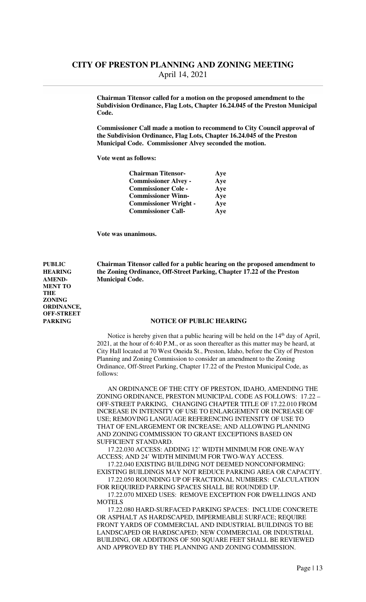**Chairman Titensor called for a motion on the proposed amendment to the Subdivision Ordinance, Flag Lots, Chapter 16.24.045 of the Preston Municipal Code.** 

 **Commissioner Call made a motion to recommend to City Council approval of the Subdivision Ordinance, Flag Lots, Chapter 16.24.045 of the Preston Municipal Code. Commissioner Alvey seconded the motion.** 

 **Vote went as follows:** 

| <b>Chairman Titensor-</b>    | Ave |
|------------------------------|-----|
| <b>Commissioner Alvey -</b>  | Aye |
| <b>Commissioner Cole -</b>   | Aye |
| <b>Commissioner Winn-</b>    | Aye |
| <b>Commissioner Wright -</b> | Aye |
| <b>Commissioner Call-</b>    | Aye |

**Vote was unanimous.** 

**PUBLIC Chairman Titensor called for a public hearing on the proposed amendment to HEARING the Zoning Ordinance, Off-Street Parking, Chapter 17.22 of the Preston AMEND- Municipal Code.** 

#### **PARKING NOTICE OF PUBLIC HEARING**

Notice is hereby given that a public hearing will be held on the 14<sup>th</sup> day of April, 2021, at the hour of 6:40 P.M., or as soon thereafter as this matter may be heard, at City Hall located at 70 West Oneida St., Preston, Idaho, before the City of Preston Planning and Zoning Commission to consider an amendment to the Zoning Ordinance, Off-Street Parking, Chapter 17.22 of the Preston Municipal Code, as follows:

 AN ORDINANCE OF THE CITY OF PRESTON, IDAHO, AMENDING THE ZONING ORDINANCE, PRESTON MUNICIPAL CODE AS FOLLOWS: 17.22 – OFF-STREET PARKING, CHANGING CHAPTER TITLE OF 17.22.010 FROM INCREASE IN INTENSITY OF USE TO ENLARGEMENT OR INCREASE OF USE; REMOVING LANGUAGE REFERENCING INTENSITY OF USE TO THAT OF ENLARGEMENT OR INCREASE; AND ALLOWING PLANNING AND ZONING COMMISSION TO GRANT EXCEPTIONS BASED ON SUFFICIENT STANDARD.

 17.22.030 ACCESS: ADDING 12' WIDTH MINIMUM FOR ONE-WAY ACCESS; AND 24' WIDTH MINIMUM FOR TWO-WAY ACCESS.

 17.22.040 EXISTING BUILDING NOT DEEMED NONCONFORMING: EXISTING BUILDINGS MAY NOT REDUCE PARKING AREA OR CAPACITY.

 17.22.050 ROUNDING UP OF FRACTIONAL NUMBERS: CALCULATION FOR REQUIRED PARKING SPACES SHALL BE ROUNDED UP.

 17.22.070 MIXED USES: REMOVE EXCEPTION FOR DWELLINGS AND **MOTELS** 

 17.22.080 HARD-SURFACED PARKING SPACES: INCLUDE CONCRETE OR ASPHALT AS HARDSCAPED, IMPERMEABLE SURFACE; REQUIRE FRONT YARDS OF COMMERCIAL AND INDUSTRIAL BUILDINGS TO BE LANDSCAPED OR HARDSCAPED; NEW COMMERCIAL OR INDUSTRIAL BUILDING, OR ADDITIONS OF 500 SQUARE FEET SHALL BE REVIEWED AND APPROVED BY THE PLANNING AND ZONING COMMISSION.

**MENT TO THE ZONING ORDINANCE, OFF-STREET**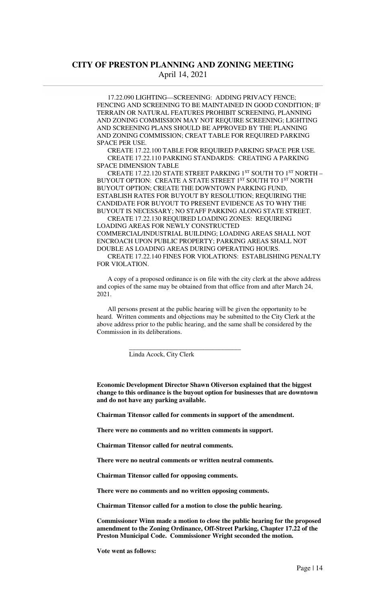17.22.090 LIGHTING—SCREENING: ADDING PRIVACY FENCE; FENCING AND SCREENING TO BE MAINTAINED IN GOOD CONDITION; IF TERRAIN OR NATURAL FEATURES PROHIBIT SCREENING, PLANNING AND ZONING COMMISSION MAY NOT REQUIRE SCREENING; LIGHTING AND SCREENING PLANS SHOULD BE APPROVED BY THE PLANNING AND ZONING COMMISSION; CREAT TABLE FOR REQUIRED PARKING SPACE PER USE.

 CREATE 17.22.100 TABLE FOR REQUIRED PARKING SPACE PER USE. CREATE 17.22.110 PARKING STANDARDS: CREATING A PARKING SPACE DIMENSION TABLE

CREATE 17.22.120 STATE STREET PARKING 1ST SOUTH TO 1ST NORTH -BUYOUT OPTION: CREATE A STATE STREET 1ST SOUTH TO 1ST NORTH BUYOUT OPTION; CREATE THE DOWNTOWN PARKING FUND, ESTABLISH RATES FOR BUYOUT BY RESOLUTION; REQUIRING THE CANDIDATE FOR BUYOUT TO PRESENT EVIDENCE AS TO WHY THE BUYOUT IS NECESSARY; NO STAFF PARKING ALONG STATE STREET.

 CREATE 17.22.130 REQUIRED LOADING ZONES: REQUIRING LOADING AREAS FOR NEWLY CONSTRUCTED COMMERCIAL/INDUSTRIAL BUILDING; LOADING AREAS SHALL NOT ENCROACH UPON PUBLIC PROPERTY; PARKING AREAS SHALL NOT DOUBLE AS LOADING AREAS DURING OPERATING HOURS.

 CREATE 17.22.140 FINES FOR VIOLATIONS: ESTABLISHING PENALTY FOR VIOLATION.

 A copy of a proposed ordinance is on file with the city clerk at the above address and copies of the same may be obtained from that office from and after March 24, 2021.

 All persons present at the public hearing will be given the opportunity to be heard. Written comments and objections may be submitted to the City Clerk at the above address prior to the public hearing, and the same shall be considered by the Commission in its deliberations.

Linda Acock, City Clerk

 $\frac{1}{\sqrt{2}}$  ,  $\frac{1}{\sqrt{2}}$  ,  $\frac{1}{\sqrt{2}}$  ,  $\frac{1}{\sqrt{2}}$  ,  $\frac{1}{\sqrt{2}}$  ,  $\frac{1}{\sqrt{2}}$  ,  $\frac{1}{\sqrt{2}}$  ,  $\frac{1}{\sqrt{2}}$  ,  $\frac{1}{\sqrt{2}}$  ,  $\frac{1}{\sqrt{2}}$  ,  $\frac{1}{\sqrt{2}}$  ,  $\frac{1}{\sqrt{2}}$  ,  $\frac{1}{\sqrt{2}}$  ,  $\frac{1}{\sqrt{2}}$  ,  $\frac{1}{\sqrt{2}}$ 

 **Economic Development Director Shawn Oliverson explained that the biggest change to this ordinance is the buyout option for businesses that are downtown and do not have any parking available.** 

 **Chairman Titensor called for comments in support of the amendment.** 

 **There were no comments and no written comments in support.** 

 **Chairman Titensor called for neutral comments.** 

 **There were no neutral comments or written neutral comments.** 

 **Chairman Titensor called for opposing comments.** 

 **There were no comments and no written opposing comments.** 

 **Chairman Titensor called for a motion to close the public hearing.** 

 **Commissioner Winn made a motion to close the public hearing for the proposed amendment to the Zoning Ordinance, Off-Street Parking, Chapter 17.22 of the Preston Municipal Code. Commissioner Wright seconded the motion.** 

 **Vote went as follows:**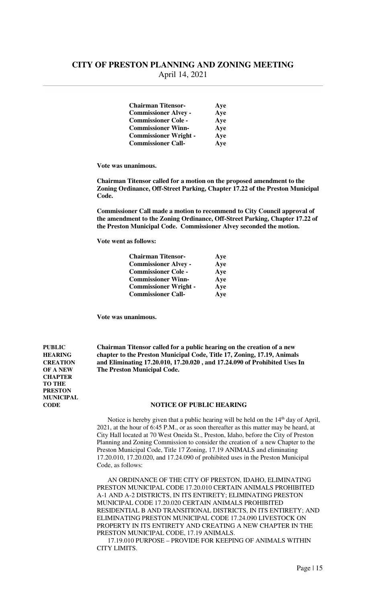| <b>Chairman Titensor-</b>    | Aye |
|------------------------------|-----|
| <b>Commissioner Alvey -</b>  | Aye |
| <b>Commissioner Cole -</b>   | Aye |
| <b>Commissioner Winn-</b>    | Aye |
| <b>Commissioner Wright -</b> | Aye |
| <b>Commissioner Call-</b>    | Aye |

 **Vote was unanimous.** 

 **Chairman Titensor called for a motion on the proposed amendment to the Zoning Ordinance, Off-Street Parking, Chapter 17.22 of the Preston Municipal Code.** 

 **Commissioner Call made a motion to recommend to City Council approval of the amendment to the Zoning Ordinance, Off-Street Parking, Chapter 17.22 of the Preston Municipal Code. Commissioner Alvey seconded the motion.** 

 **Vote went as follows:** 

| <b>Chairman Titensor-</b>    | Ave |
|------------------------------|-----|
| <b>Commissioner Alvey -</b>  | Aye |
| <b>Commissioner Cole -</b>   | Aye |
| <b>Commissioner Winn-</b>    | Aye |
| <b>Commissioner Wright -</b> | Aye |
| <b>Commissioner Call-</b>    | Aye |

**Vote was unanimous.** 

**CHAPTER TO THE PRESTON MUNICIPAL** 

**PUBLIC Chairman Titensor called for a public hearing on the creation of a new HEARING chapter to the Preston Municipal Code, Title 17, Zoning, 17.19, Animals CREATION and Eliminating 17.20.010, 17.20.020 , and 17.24.090 of Prohibited Uses In OF A NEW The Preston Municipal Code.** 

#### **CODE NOTICE OF PUBLIC HEARING**

Notice is hereby given that a public hearing will be held on the  $14<sup>th</sup>$  day of April, 2021, at the hour of 6:45 P.M., or as soon thereafter as this matter may be heard, at City Hall located at 70 West Oneida St., Preston, Idaho, before the City of Preston Planning and Zoning Commission to consider the creation of a new Chapter to the Preston Municipal Code, Title 17 Zoning, 17.19 ANIMALS and eliminating 17.20.010, 17.20.020, and 17.24.090 of prohibited uses in the Preston Municipal Code, as follows:

 AN ORDINANCE OF THE CITY OF PRESTON, IDAHO, ELIMINATING PRESTON MUNICIPAL CODE 17.20.010 CERTAIN ANIMALS PROHIBITED A-1 AND A-2 DISTRICTS, IN ITS ENTIRETY; ELIMINATING PRESTON MUNICIPAL CODE 17.20.020 CERTAIN ANIMALS PROHIBITED RESIDENTIAL B AND TRANSITIONAL DISTRICTS, IN ITS ENTIRETY; AND ELIMINATING PRESTON MUNICIPAL CODE 17.24.090 LIVESTOCK ON PROPERTY IN ITS ENTIRETY AND CREATING A NEW CHAPTER IN THE PRESTON MUNICIPAL CODE, 17.19 ANIMALS.

 17.19.010 PURPOSE – PROVIDE FOR KEEPING OF ANIMALS WITHIN CITY LIMITS.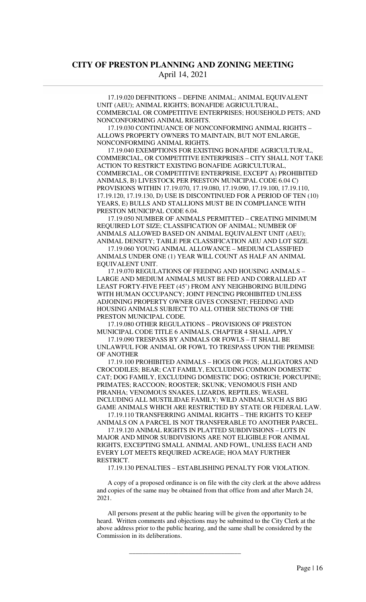17.19.020 DEFINITIONS – DEFINE ANIMAL; ANIMAL EQUIVALENT UNIT (AEU); ANIMAL RIGHTS; BONAFIDE AGRICULTURAL, COMMERCIAL OR COMPETITIVE ENTERPRISES; HOUSEHOLD PETS; AND NONCONFORMING ANIMAL RIGHTS.

 17.19.030 CONTINUANCE OF NONCONFORMING ANIMAL RIGHTS – ALLOWS PROPERTY OWNERS TO MAINTAIN, BUT NOT ENLARGE, NONCONFORMING ANIMAL RIGHTS.

 17.19.040 EXEMPTIONS FOR EXISTING BONAFIDE AGRICULTURAL, COMMERCIAL, OR COMPETITIVE ENTERPRISES – CITY SHALL NOT TAKE ACTION TO RESTRICT EXISTING BONAFIDE AGRICULTURAL, COMMERCIAL, OR COMPETITIVE ENTERPRISE, EXCEPT A) PROHIBITED ANIMALS, B) LIVESTOCK PER PRESTON MUNICIPAL CODE 6.04 C) PROVISIONS WITHIN 17.19.070, 17.19.080, 17.19.090, 17.19.100, 17.19.110, 17.19.120, 17.19.130, D) USE IS DISCONTINUED FOR A PERIOD OF TEN (10) YEARS, E) BULLS AND STALLIONS MUST BE IN COMPLIANCE WITH PRESTON MUNICIPAL CODE 6.04.

 17.19.050 NUMBER OF ANIMALS PERMITTED – CREATING MINIMUM REQUIRED LOT SIZE; CLASSIFICATION OF ANIMAL; NUMBER OF ANIMALS ALLOWED BASED ON ANIMAL EQUIVALENT UNIT (AEU); ANIMAL DENSITY; TABLE PER CLASSIFICATION AEU AND LOT SIZE.

 17.19.060 YOUNG ANIMAL ALLOWANCE – MEDIUM CLASSIFIED ANIMALS UNDER ONE (1) YEAR WILL COUNT AS HALF AN ANIMAL EQUIVALENT UNIT.

 17.19.070 REGULATIONS OF FEEDING AND HOUSING ANIMALS – LARGE AND MEDIUM ANIMALS MUST BE FED AND CORRALLED AT LEAST FORTY-FIVE FEET (45') FROM ANY NEIGHBORING BUILDING WITH HUMAN OCCUPANCY; JOINT FENCING PROHIBITED UNLESS ADJOINING PROPERTY OWNER GIVES CONSENT; FEEDING AND HOUSING ANIMALS SUBJECT TO ALL OTHER SECTIONS OF THE PRESTON MUNICIPAL CODE.

 17.19.080 OTHER REGULATIONS – PROVISIONS OF PRESTON MUNICIPAL CODE TITLE 6 ANIMALS, CHAPTER 4 SHALL APPLY

 17.19.090 TRESPASS BY ANIMALS OR FOWLS – IT SHALL BE UNLAWFUL FOR ANIMAL OR FOWL TO TRESPASS UPON THE PREMISE OF ANOTHER

 17.19.100 PROHIBITED ANIMALS – HOGS OR PIGS; ALLIGATORS AND CROCODILES; BEAR; CAT FAMILY, EXCLUDING COMMON DOMESTIC CAT; DOG FAMILY, EXCLUDING DOMESTIC DOG; OSTRICH; PORCUPINE; PRIMATES; RACCOON; ROOSTER; SKUNK; VENOMOUS FISH AND PIRANHA; VENOMOUS SNAKES, LIZARDS, REPTILES; WEASEL INCLUDING ALL MUSTILIDAE FAMILY; WILD ANIMAL SUCH AS BIG GAME ANIMALS WHICH ARE RESTRICTED BY STATE OR FEDERAL LAW.

 17.19.110 TRANSFERRING ANIMAL RIGHTS – THE RIGHTS TO KEEP ANIMALS ON A PARCEL IS NOT TRANSFERABLE TO ANOTHER PARCEL.

 17.19.120 ANIMAL RIGHTS IN PLATTED SUBDIVISIONS – LOTS IN MAJOR AND MINOR SUBDIVISIONS ARE NOT ELIGIBLE FOR ANIMAL RIGHTS, EXCEPTING SMALL ANIMAL AND FOWL, UNLESS EACH AND EVERY LOT MEETS REQUIRED ACREAGE; HOA MAY FURTHER **RESTRICT.** 

17.19.130 PENALTIES – ESTABLISHING PENALTY FOR VIOLATION.

 A copy of a proposed ordinance is on file with the city clerk at the above address and copies of the same may be obtained from that office from and after March 24, 2021.

 All persons present at the public hearing will be given the opportunity to be heard. Written comments and objections may be submitted to the City Clerk at the above address prior to the public hearing, and the same shall be considered by the Commission in its deliberations.

 $\overline{\phantom{a}}$  ,  $\overline{\phantom{a}}$  ,  $\overline{\phantom{a}}$  ,  $\overline{\phantom{a}}$  ,  $\overline{\phantom{a}}$  ,  $\overline{\phantom{a}}$  ,  $\overline{\phantom{a}}$  ,  $\overline{\phantom{a}}$  ,  $\overline{\phantom{a}}$  ,  $\overline{\phantom{a}}$  ,  $\overline{\phantom{a}}$  ,  $\overline{\phantom{a}}$  ,  $\overline{\phantom{a}}$  ,  $\overline{\phantom{a}}$  ,  $\overline{\phantom{a}}$  ,  $\overline{\phantom{a}}$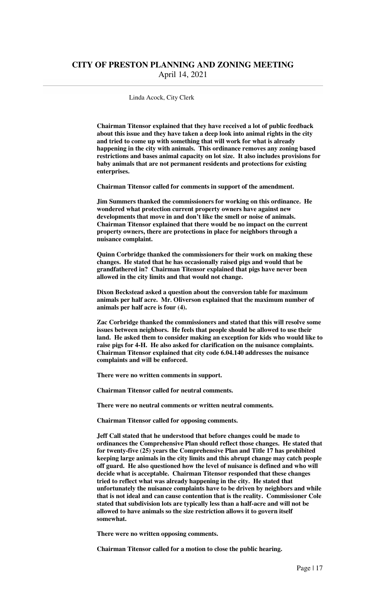#### Linda Acock, City Clerk

**Chairman Titensor explained that they have received a lot of public feedback about this issue and they have taken a deep look into animal rights in the city and tried to come up with something that will work for what is already happening in the city with animals. This ordinance removes any zoning based restrictions and bases animal capacity on lot size. It also includes provisions for baby animals that are not permanent residents and protections for existing enterprises.** 

 **Chairman Titensor called for comments in support of the amendment.** 

 **Jim Summers thanked the commissioners for working on this ordinance. He wondered what protection current property owners have against new developments that move in and don't like the smell or noise of animals. Chairman Titensor explained that there would be no impact on the current property owners, there are protections in place for neighbors through a nuisance complaint.** 

 **Quinn Corbridge thanked the commissioners for their work on making these changes. He stated that he has occasionally raised pigs and would that be grandfathered in? Chairman Titensor explained that pigs have never been allowed in the city limits and that would not change.** 

 **Dixon Beckstead asked a question about the conversion table for maximum animals per half acre. Mr. Oliverson explained that the maximum number of animals per half acre is four (4).** 

 **Zac Corbridge thanked the commissioners and stated that this will resolve some issues between neighbors. He feels that people should be allowed to use their land. He asked them to consider making an exception for kids who would like to raise pigs for 4-H. He also asked for clarification on the nuisance complaints. Chairman Titensor explained that city code 6.04.140 addresses the nuisance complaints and will be enforced.** 

 **There were no written comments in support.** 

 **Chairman Titensor called for neutral comments.** 

 **There were no neutral comments or written neutral comments.** 

 **Chairman Titensor called for opposing comments.** 

 **Jeff Call stated that he understood that before changes could be made to ordinances the Comprehensive Plan should reflect those changes. He stated that for twenty-five (25) years the Comprehensive Plan and Title 17 has prohibited keeping large animals in the city limits and this abrupt change may catch people off guard. He also questioned how the level of nuisance is defined and who will decide what is acceptable. Chairman Titensor responded that these changes tried to reflect what was already happening in the city. He stated that unfortunately the nuisance complaints have to be driven by neighbors and while that is not ideal and can cause contention that is the reality. Commissioner Cole stated that subdivision lots are typically less than a half-acre and will not be allowed to have animals so the size restriction allows it to govern itself somewhat.** 

 **There were no written opposing comments.** 

 **Chairman Titensor called for a motion to close the public hearing.**